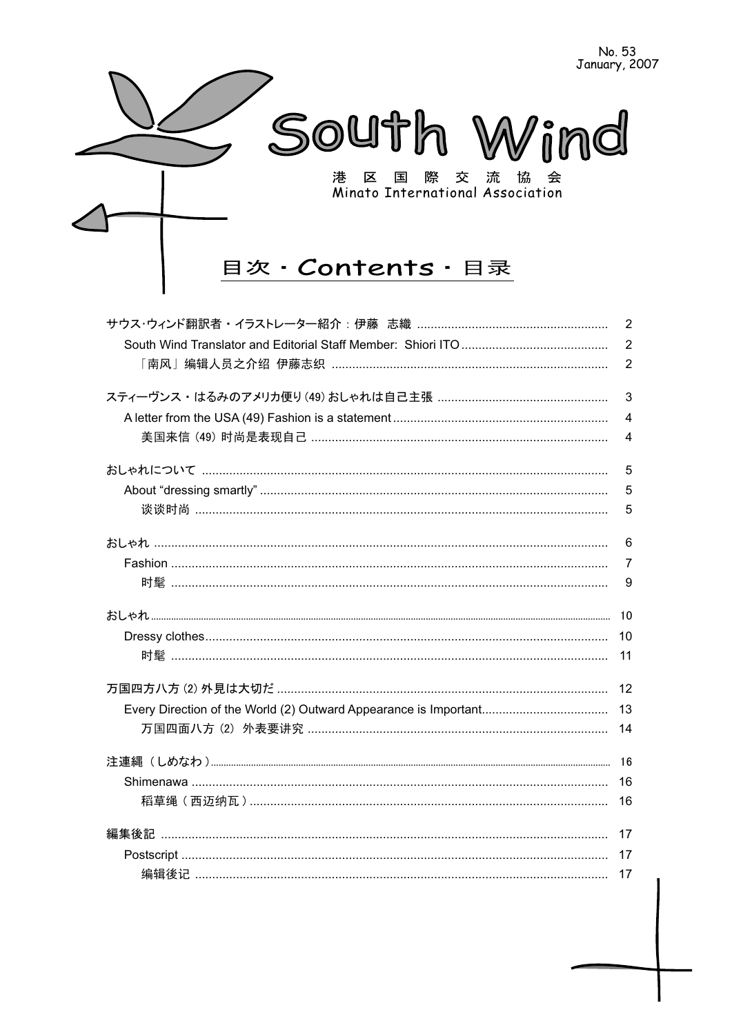

| $\overline{2}$ |
|----------------|
| $\overline{2}$ |
| $\overline{2}$ |
| 3              |
| $\overline{4}$ |
| 4              |
| 5              |
| 5              |
| 5              |
| 6              |
| $\overline{7}$ |
| 9              |
|                |
| 10             |
| 11             |
| 12             |
| 13             |
| 14             |
|                |
|                |
| 16             |
| 17             |
| 17             |
|                |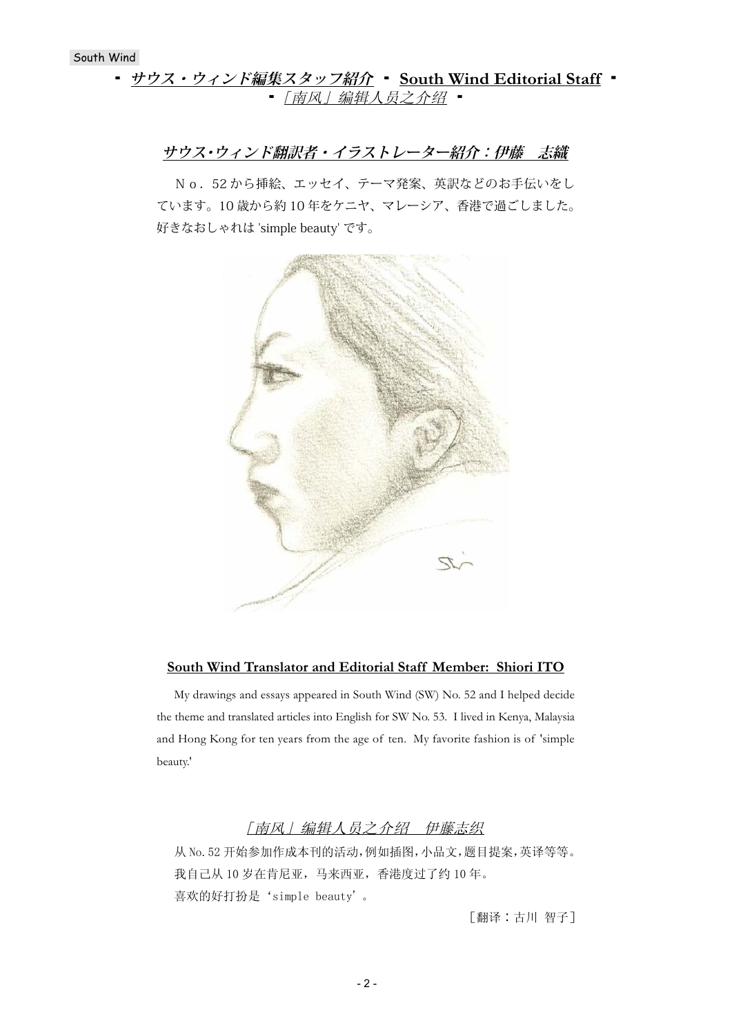# **・ サウス・ウィンド編集スタッフ紹介 ・ South Wind Editorial Staff** ・ ■ [南风] 编辑人员之介绍 ■

# **サウス・ウィンド翻訳者・イラストレーター紹介:伊藤 志織**

No. 52から挿絵、エッセイ、テーマ発案、英訳などのお手伝いをし ています。10 歳から約 10 年をケニヤ、マレーシア、香港で過ごしました。 好きなおしゃれは 'simple beauty' です。



### **South Wind Translator and Editorial Staff Member: Shiori ITO**

My drawings and essays appeared in South Wind (SW) No. 52 and I helped decide the theme and translated articles into English for SW No. 53. I lived in Kenya, Malaysia and Hong Kong for ten years from the age of ten. My favorite fashion is of 'simple beauty.'

# [南风] 编辑人员之介绍 伊藤志织

从 No. 52 开始参加作成本刊的活动, 例如插图, 小品文, 题目提案, 英译等等。 我自己从10岁在肯尼亚,马来西亚,香港度过了约10年。 喜欢的好打扮是'simple beauty'。

[翻译:古川 智子]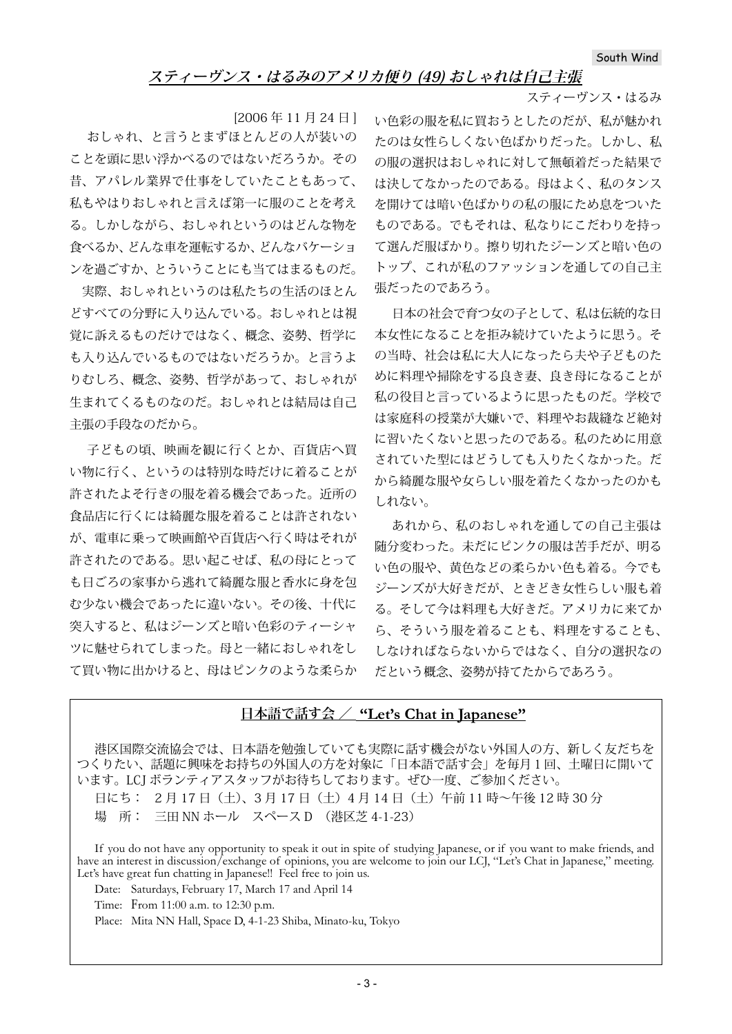# **スティーヴンス・はるみのアメリカ便り (49) おしゃれは自己主張**

スティーヴンス・はるみ

[2006 年 11 月 24 日 ] おしゃれ、と言うとまずほとんどの人が装いの ことを頭に思い浮かべるのではないだろうか。その 昔、アパレル業界で仕事をしていたこともあって、 私もやはりおしゃれと言えば第一に服のことを考え る。しかしながら、おしゃれというのはどんな物を 食べるか、どんな車を運転するか、どんなバケーショ ンを過ごすか、とういうことにも当てはまるものだ。

 実際、おしゃれというのは私たちの生活のほとん どすべての分野に入り込んでいる。おしゃれとは視 覚に訴えるものだけではなく、概念、姿勢、哲学に も入り込んでいるものではないだろうか。と言うよ りむしろ、概念、姿勢、哲学があって、おしゃれが 生まれてくるものなのだ。おしゃれとは結局は自己 主張の手段なのだから。

子どもの頃、映画を観に行くとか、百貨店へ買 い物に行く、というのは特別な時だけに着ることが 許されたよそ行きの服を着る機会であった。近所の 食品店に行くには綺麗な服を着ることは許されない が、電車に乗って映画館や百貨店へ行く時はそれが 許されたのである。思い起こせば、私の母にとって も日ごろの家事から逃れて綺麗な服と香水に身を包 む少ない機会であったに違いない。その後、十代に 突入すると、私はジーンズと暗い色彩のティーシャ ツに魅せられてしまった。母と一緒におしゃれをし て買い物に出かけると、母はピンクのような柔らか

い色彩の服を私に買おうとしたのだが、私が魅かれ たのは女性らしくない色ばかりだった。しかし、私 の服の選択はおしゃれに対して無頓着だった結果で は決してなかったのである。母はよく、私のタンス を開けては暗い色ばかりの私の服にため息をついた ものである。でもそれは、私なりにこだわりを持っ て選んだ服ばかり。擦り切れたジーンズと暗い色の トップ、これが私のファッションを通しての自己主 張だったのであろう。

日本の社会で育つ女の子として、私は伝統的な日 本女性になることを拒み続けていたように思う。そ の当時、社会は私に大人になったら夫や子どものた めに料理や掃除をする良き妻、良き母になることが 私の役目と言っているように思ったものだ。学校で は家庭科の授業が大嫌いで、料理やお裁縫など絶対 に習いたくないと思ったのである。私のために用意 されていた型にはどうしても入りたくなかった。だ から綺麗な服や女らしい服を着たくなかったのかも しれない。

あれから、私のおしゃれを通しての自己主張は 随分変わった。未だにピンクの服は苦手だが、明る い色の服や、黄色などの柔らかい色も着る。今でも ジーンズが大好きだが、ときどき女性らしい服も着 る。そして今は料理も大好きだ。アメリカに来てか ら、そういう服を着ることも、料理をすることも、 しなければならないからではなく、自分の選択なの だという概念、姿勢が持てたからであろう。

# **日本語で話す会 / "Let's Chat in Japanese"**

港区国際交流協会では、日本語を勉強していても実際に話す機会がない外国人の方、新しく友だちを つくりたい、話題に興味をお持ちの外国人の方を対象に「日本語で話す会」を毎月1回、土曜日に開いて います。LCJ ボランティアスタッフがお待ちしております。ぜひ一度、ご参加ください。

日にち: 2月17日 (土)、3月17日 (土) 4月14日 (土) 午前11時~午後12時30分

場 所: 三田 NN ホール スペース D (港区芝 4-1-23)

If you do not have any opportunity to speak it out in spite of studying Japanese, or if you want to make friends, and have an interest in discussion/exchange of opinions, you are welcome to join our LCJ, "Let's Chat in Japanese," meeting. Let's have great fun chatting in Japanese!! Feel free to join us.

Date: Saturdays, February 17, March 17 and April 14

Time: From 11:00 a.m. to 12:30 p.m.

Place: Mita NN Hall, Space D, 4-1-23 Shiba, Minato-ku, Tokyo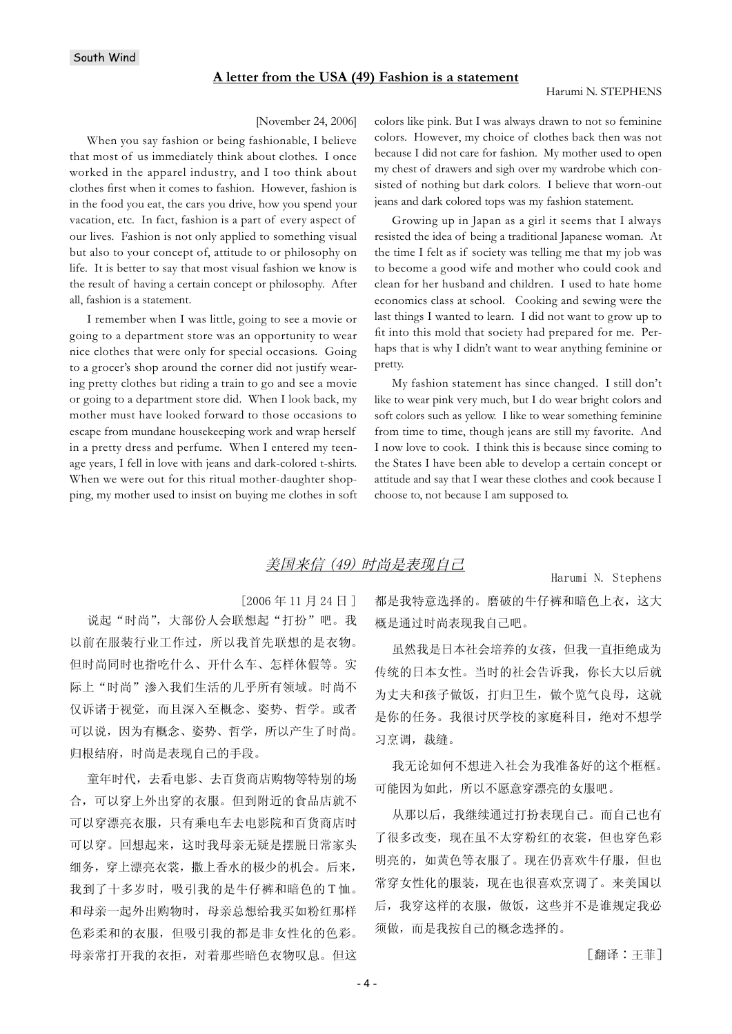#### [November 24, 2006]

When you say fashion or being fashionable, I believe that most of us immediately think about clothes. I once worked in the apparel industry, and I too think about clothes first when it comes to fashion. However, fashion is in the food you eat, the cars you drive, how you spend your vacation, etc. In fact, fashion is a part of every aspect of our lives. Fashion is not only applied to something visual but also to your concept of, attitude to or philosophy on life. It is better to say that most visual fashion we know is the result of having a certain concept or philosophy. After all, fashion is a statement.

I remember when I was little, going to see a movie or going to a department store was an opportunity to wear nice clothes that were only for special occasions. Going to a grocer's shop around the corner did not justify wearing pretty clothes but riding a train to go and see a movie or going to a department store did. When I look back, my mother must have looked forward to those occasions to escape from mundane housekeeping work and wrap herself in a pretty dress and perfume. When I entered my teenage years, I fell in love with jeans and dark-colored t-shirts. When we were out for this ritual mother-daughter shopping, my mother used to insist on buying me clothes in soft colors like pink. But I was always drawn to not so feminine colors. However, my choice of clothes back then was not because I did not care for fashion. My mother used to open my chest of drawers and sigh over my wardrobe which consisted of nothing but dark colors. I believe that worn-out jeans and dark colored tops was my fashion statement.

Growing up in Japan as a girl it seems that I always resisted the idea of being a traditional Japanese woman. At the time I felt as if society was telling me that my job was to become a good wife and mother who could cook and clean for her husband and children. I used to hate home economics class at school. Cooking and sewing were the last things I wanted to learn. I did not want to grow up to fit into this mold that society had prepared for me. Perhaps that is why I didn't want to wear anything feminine or pretty.

My fashion statement has since changed. I still don't like to wear pink very much, but I do wear bright colors and soft colors such as yellow. I like to wear something feminine from time to time, though jeans are still my favorite. And I now love to cook. I think this is because since coming to the States I have been able to develop a certain concept or attitude and say that I wear these clothes and cook because I choose to, not because I am supposed to.

# 美国来信 (49) 时尚是表现自己

Harumi N. Stephens

 $[2006 \n45 11 \n424 \n61]$ 

说起"时尚",大部份人会联想起"打扮"吧。我 以前在服装行业工作过,所以我首先联想的是衣物。 但时尚同时也指吃什么、开什么车、怎样休假等。实 际上"时尚"渗入我们生活的几乎所有领域。时尚不 仅诉诸于视觉, 而且深入至概念、姿势、哲学。或者 可以说,因为有概念、姿势、哲学,所以产生了时尚。 归根结府, 时尚是表现自己的手段。

童年时代,去看电影、去百货商店购物等特别的场 合,可以穿上外出穿的衣服。但到附近的食品店就不 可以穿漂亮衣服, 只有乘电车去电影院和百货商店时 可以穿。回想起来, 这时我母亲无疑是摆脱日常家头 细务, 穿上漂亮衣裳, 撒上香水的极少的机会。后来, 我到了十多岁时, 吸引我的是牛仔裤和暗色的T恤。 和母亲一起外出购物时, 母亲总想给我买如粉红那样 色彩柔和的衣服,但吸引我的都是非女性化的色彩。 母亲常打开我的衣拒, 对着那些暗色衣物叹息。但这 都是我特意选择的。磨破的牛仔裤和暗色上衣,这大 概是通过时尚表现我自己吧。

虽然我是日本社会培养的女孩,但我一直拒绝成为 传统的日本女性。当时的社会告诉我, 你长大以后就 为丈夫和孩子做饭, 打归卫生, 做个览气良母, 这就 是你的任务。我很讨厌学校的家庭科目,绝对不想学 习烹调, 裁缝。

我无论如何不想进入社会为我准备好的这个框框。 可能因为如此,所以不愿意穿漂亮的女服吧。

从那以后, 我继续通过打扮表现自己。而自己也有 了很多改变, 现在虽不太穿粉红的衣裳, 但也穿色彩 明亮的, 如黄色等衣服了。现在仍喜欢牛仔服, 但也 常穿女性化的服装, 现在也很喜欢烹调了。来美国以 后, 我穿这样的衣服, 做饭, 这些并不是谁规定我必 须做,而是我按自己的概念选择的。

[翻译:王菲]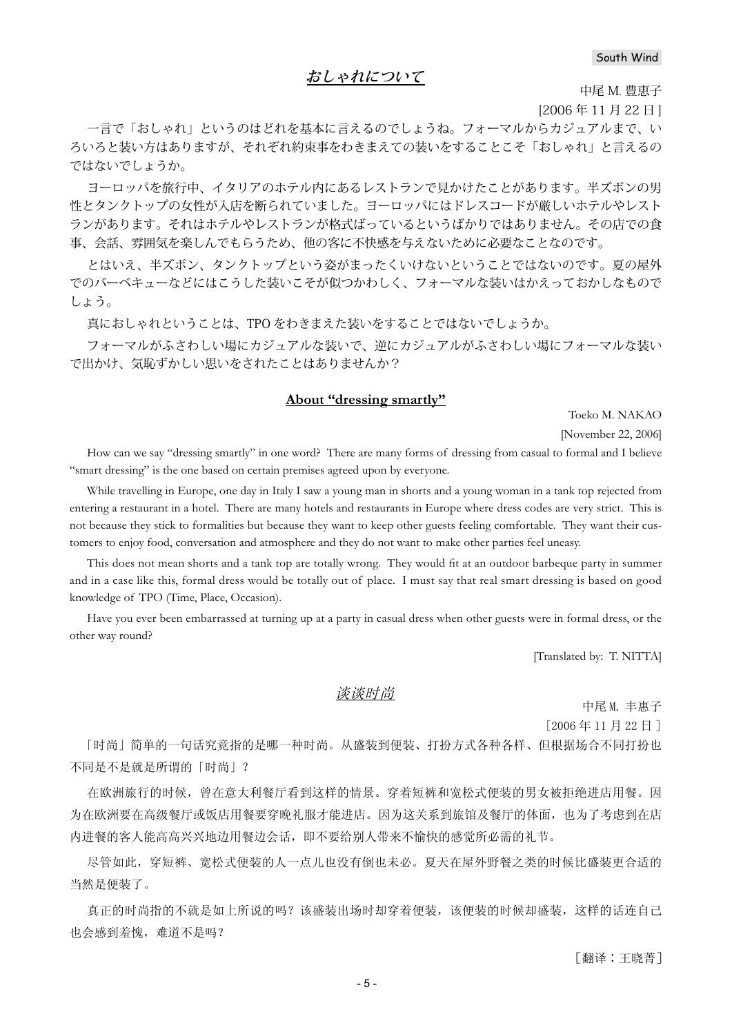## **おしゃれについて**

中尾 M. 豊恵子

[2006 年 11 月 22 日 ]

一言で「おしゃれ」というのはどれを基本に言えるのでしょうね。フォーマルからカジュアルまで、い ろいろと装い方はありますが、それぞれ約束事をわきまえての装いをすることこそ「おしゃれ」と言えるの ではないでしょうか。

ヨーロッパを旅行中、イタリアのホテル内にあるレストランで見かけたことがあります。半ズボンの男 性とタンクトップの女性が入店を断られていました。ヨーロッパにはドレスコードが厳しいホテルやレスト ランがあります。それはホテルやレストランが格式ばっているというばかりではありません。その店での食 事、会話、雰囲気を楽しんでもらうため、他の客に不快感を与えないために必要なことなのです。

とはいえ、半ズボン、タンクトップという姿がまったくいけないということではないのです。夏の屋外 でのバーベキューなどにはこうした装いこそが似つかわしく、フォーマルな装いはかえっておかしなもので しょう。

真におしゃれということは、TPO をわきまえた装いをすることではないでしょうか。

フォーマルがふさわしい場にカジュアルな装いで、逆にカジュアルがふさわしい場にフォーマルな装い で出かけ、気恥ずかしい思いをされたことはありませんか?

#### **About "dressing smartly"**

Toeko M. NAKAO

[November 22, 2006]

How can we say "dressing smartly" in one word? There are many forms of dressing from casual to formal and I believe "smart dressing" is the one based on certain premises agreed upon by everyone.

While travelling in Europe, one day in Italy I saw a young man in shorts and a young woman in a tank top rejected from entering a restaurant in a hotel. There are many hotels and restaurants in Europe where dress codes are very strict. This is not because they stick to formalities but because they want to keep other guests feeling comfortable. They want their customers to enjoy food, conversation and atmosphere and they do not want to make other parties feel uneasy.

This does not mean shorts and a tank top are totally wrong. They would fi t at an outdoor barbeque party in summer and in a case like this, formal dress would be totally out of place. I must say that real smart dressing is based on good knowledge of TPO (Time, Place, Occasion).

Have you ever been embarrassed at turning up at a party in casual dress when other guests were in formal dress, or the other way round?

[Translated by: T. NITTA]

#### 谈谈时尚

中尾M. 丰惠子

 $[2006 \n45 11]$  月 22 日

「时尚」简单的一句话究竟指的是哪一种时尚。从盛装到便装、打扮方式各种各样、但根据场合不同打扮也 不同是不是就是所谓的「时尚」?

在欧洲旅行的时候, 曾在意大利餐厅看到这样的情景。穿着短裤和宽松式便装的男女被拒绝进店用餐。因 为在欧洲要在高级餐厅或饭店用餐要穿晚礼服才能进店。因为这关系到旅馆及餐厅的体面,也为了考虑到在店 内进餐的客人能高高兴兴地边用餐边会话,即不要给别人带来不愉快的感觉所必需的礼节。

尽管如此, 穿短裤、宽松式便装的人一点儿也没有倒也未必。夏天在屋外野餐之类的时候比盛装更合适的 当然是便装了。

真正的时尚指的不就是如上所说的吗?该盛装出场时却穿着便装,该便装的时候却盛装,这样的话连自己 也会感到羞愧,难道不是吗?

「翻译:王晓菁]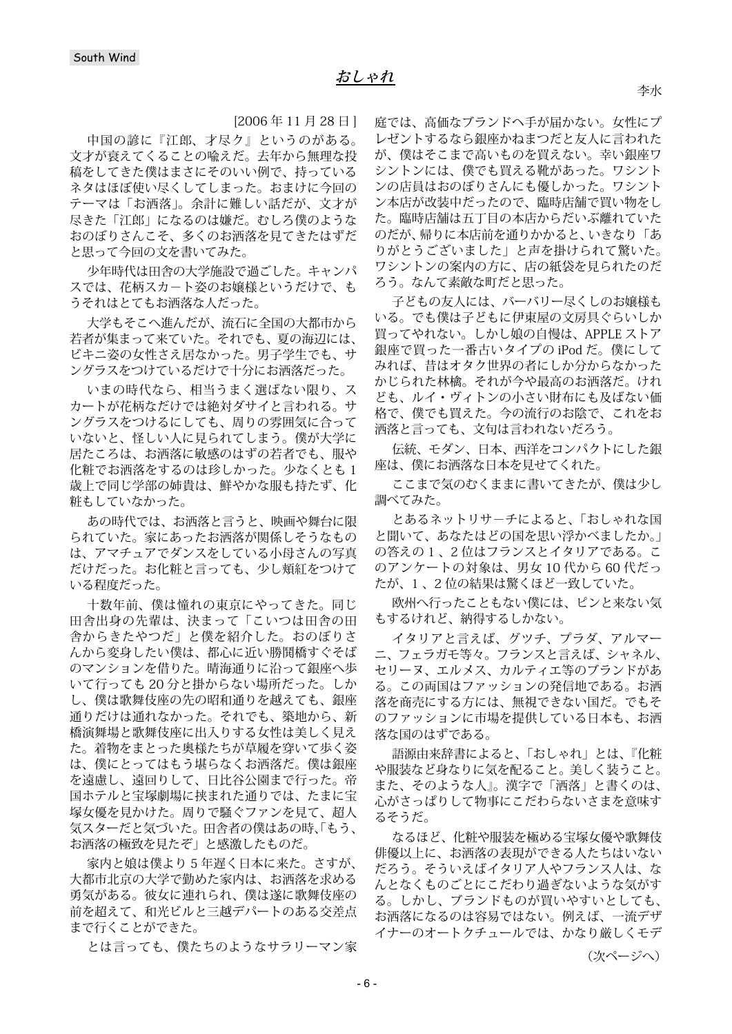[2006 年 11 月 28 日 ]

中国の諺に『江郎、才尽ク』というのがある。 文才が衰えてくることの喩えだ。去年から無理な投 稿をしてきた僕はまさにそのいい例で、持っている ネタはほぼ使い尽くしてしまった。おまけに今回の テーマは「お洒落」。余計に難しい話だが、文才が 尽きた「江郎」になるのは嫌だ。むしろ僕のような おのぼりさんこそ、多くのお洒落を見てきたはずだ と思って今回の文を書いてみた。

少年時代は田舎の大学施設で過ごした。キャンパ スでは、花柄スカ-ト姿のお嬢様というだけで、も うそれはとてもお洒落な人だった。

大学もそこへ進んだが、流石に全国の大都市から 若者が集まって来ていた。それでも、夏の海辺には、 ビキニ姿の女性さえ居なかった。男子学生でも、サ ングラスをつけているだけで十分にお洒落だった。

いまの時代なら、相当うまく選ばない限り、ス カートが花柄なだけでは絶対ダサイと言われる。サ ングラスをつけるにしても、周りの雰囲気に合って いないと、怪しい人に見られてしまう。僕が大学に 居たころは、お洒落に敏感のはずの若者でも、服や 化粧でお洒落をするのは珍しかった。少なくとも 1 歳上で同じ学部の姉貴は、鮮やかな服も持たず、化 粧もしていなかった。

あの時代では、お洒落と言うと、映画や舞台に限 られていた。家にあったお洒落が関係しそうなもの は、アマチュアでダンスをしている小母さんの写真 だけだった。お化粧と言っても、少し頬紅をつけて いる程度だった。

十数年前、僕は憧れの東京にやってきた。同じ 田舎出身の先輩は、決まって「こいつは田舎の田 舎からきたやつだ」と僕を紹介した。おのぼりさ んから変身したい僕は、都心に近い勝鬨橋すぐそば のマンションを借りた。晴海通りに沿って銀座へ歩 いて行っても 20 分と掛からない場所だった。しか し、僕は歌舞伎座の先の昭和通りを越えても、銀座 通りだけは通れなかった。それでも、築地から、新 橋演舞場と歌舞伎座に出入りする女性は美しく見え た。着物をまとった奥様たちが草履を穿いて歩く姿 は、僕にとってはもう堪らなくお洒落だ。僕は銀座 を遠慮し、遠回りして、日比谷公園まで行った。帝 国ホテルと宝塚劇場に挟まれた通りでは、たまに宝 塚女優を見かけた。周りで騒ぐファンを見て、超人 気スターだと気づいた。田舎者の僕はあの時、「もう、 お洒落の極致を見たぞ」と感激したものだ。

家内と娘は僕より 5 年遅く日本に来た。さすが、 大都市北京の大学で勤めた家内は、お洒落を求める 勇気がある。彼女に連れられ、僕は遂に歌舞伎座の 前を超えて、和光ビルと三越デパートのある交差点 まで行くことができた。

とは言っても、僕たちのようなサラリーマン家

庭では、高価なブランドヘ手が届かない。女性にプ レゼントするなら銀座かねまつだと友人に言われた が、僕はそこまで高いものを買えない。幸い銀座ワ シントンには、僕でも買える靴があった。ワシント ンの店員はおのぼりさんにも優しかった。ワシント ン本店が改装中だったので、臨時店舗で買い物をし た。臨時店舗は五丁目の本店からだいぶ離れていた のだが、帰りに本店前を通りかかると、いきなり「あ りがとうございました」と声を掛けられて驚いた。 ワシントンの案内の方に、店の紙袋を見られたのだ ろう。なんて素敵な町だと思った。

子どもの友人には、バーバリー尽くしのお嬢様も いる。でも僕は子どもに伊東屋の文房具ぐらいしか 買ってやれない。しかし娘の自慢は、APPLE ストア 銀座で買った一番古いタイプの iPod だ。僕にして みれば、昔はオタク世界の者にしか分からなかった かじられた林檎。それが今や最高のお洒落だ。けれ ども、ルイ・ヴィトンの小さい財布にも及ばない価 格で、僕でも買えた。今の流行のお陰で、これをお 洒落と言っても、文句は言われないだろう。

伝統、モダン、日本、西洋をコンパクトにした銀 座は、僕にお洒落な日本を見せてくれた。

ここまで気のむくままに書いてきたが、僕は少し 調べてみた。

とあるネットリサ-チによると、「おしゃれな国 と聞いて、あなたはどの国を思い浮かべましたか。」 の答えの1、2位はフランスとイタリアである。こ のアンケートの対象は、男女 10 代から 60 代だっ たが、1 、2 位の結果は驚くほど一致していた。

欧州へ行ったこともない僕には、ピンと来ない気 もするけれど、納得するしかない。

イタリアと言えば、グツチ、プラダ、アルマー ニ、フェラガモ等々。フランスと言えば、シャネル、 セリーヌ、エルメス、カルティエ等のブランドがあ る。この両国はファッションの発信地である。お洒 落を商売にする方には、無視できない国だ。でもそ のファッションに市場を提供している日本も、お洒 落な国のはずである。

語源由来辞書によると、「おしゃれ」とは、『化粧 や服装など身なりに気を配ること。美しく装うこと。 また、そのような人』。漢字で「洒落」と書くのは、 心がさっぱりして物事にこだわらないさまを意味す るそうだ。

なるほど、化粧や服装を極める宝塚女優や歌舞伎 俳優以上に、お洒落の表現ができる人たちはいない だろう。そういえばイタリア人やフランス人は、な んとなくものごとにこだわり過ぎないような気がす る。しかし、ブランドものが買いやすいとしても、 お洒落になるのは容易ではない。例えば、一流デザ イナーのオートクチュールでは、かなり厳しくモデ

(次ページへ)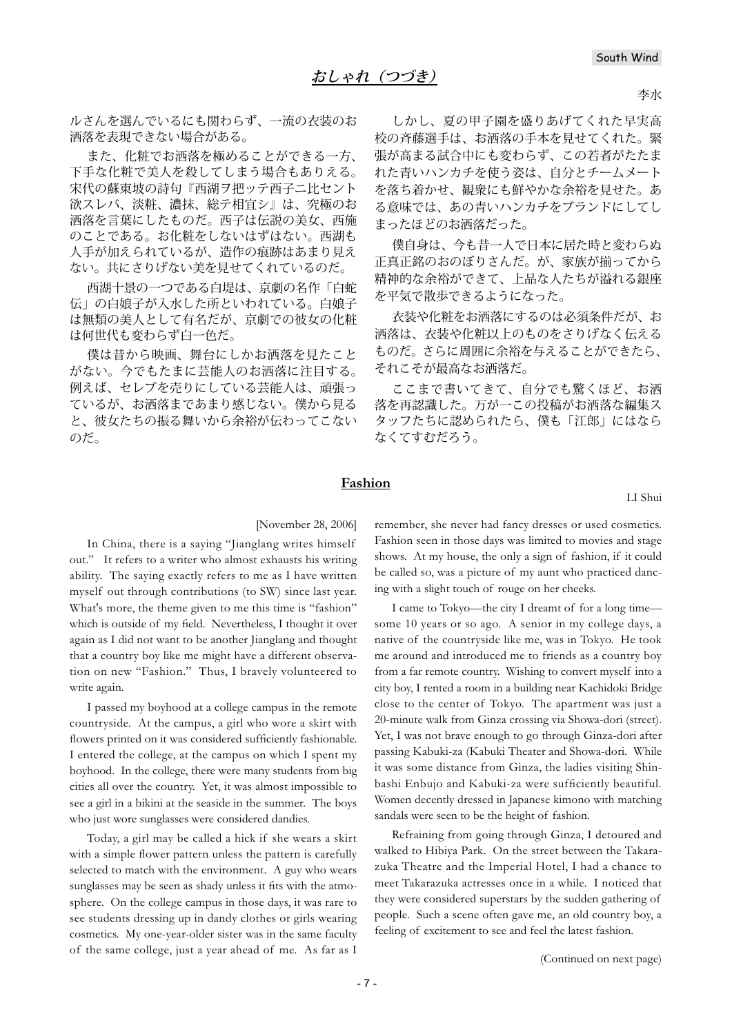ルさんを選んでいるにも関わらず、一流の衣装のお 洒落を表現できない場合がある。

また、化粧でお洒落を極めることができる一方、 下手な化粧で美人を殺してしまう場合もありえる。 宋代の蘇東坡の詩句『西湖ヲ把ッテ西子ニ比セント 欲スレバ、淡粧、濃抹、総テ相宜シ』は、究極のお 洒落を言葉にしたものだ。西子は伝説の美女、西施 のことである。お化粧をしないはずはない。西湖も 人手が加えられているが、造作の痕跡はあまり見え ない。共にさりげない美を見せてくれているのだ。

西湖十景の一つである白堤は、京劇の名作「白蛇 伝」の白娘子が入水した所といわれている。白娘子 は無類の美人として有名だが、京劇での彼女の化粧 は何世代も変わらず白一色だ。

僕は昔から映画、舞台にしかお洒落を見たこと がない。今でもたまに芸能人のお洒落に注目する。 例えば、セレブを売りにしている芸能人は、頑張っ ているが、お洒落まであまり感じない。僕から見る と、彼女たちの振る舞いから余裕が伝わってこない のだ。

しかし、夏の甲子園を盛りあげてくれた早実高 校の斉藤選手は、お洒落の手本を見せてくれた。緊 張が高まる試合中にも変わらず、この若者がたたま れた青いハンカチを使う姿は、自分とチームメート を落ち着かせ、観衆にも鮮やかな余裕を見せた。あ る意味では、あの青いハンカチをブランドにしてし まったほどのお洒落だった。

僕自身は、今も昔一人で日本に居た時と変わらぬ 正真正銘のおのぼりさんだ。が、家族が揃ってから 精神的な余裕ができて、上品な人たちが溢れる銀座 を平気で散歩できるようになった。

衣装や化粧をお洒落にするのは必須条件だが、お 洒落は、衣装や化粧以上のものをさりげなく伝える ものだ。さらに周囲に余裕を与えることができたら、 それこそが最高なお洒落だ。

ここまで書いてきて、自分でも驚くほど、お洒 落を再認識した。万が一この投稿がお洒落な編集ス タッフたちに認められたら、僕も「江郎」にはなら なくてすむだろう。

#### **Fashion**

LI Shui

#### [November 28, 2006]

In China, there is a saying "Jianglang writes himself out." It refers to a writer who almost exhausts his writing ability. The saying exactly refers to me as I have written myself out through contributions (to SW) since last year. What's more, the theme given to me this time is "fashion" which is outside of my field. Nevertheless, I thought it over again as I did not want to be another Jianglang and thought that a country boy like me might have a different observation on new "Fashion." Thus, I bravely volunteered to write again.

I passed my boyhood at a college campus in the remote countryside. At the campus, a girl who wore a skirt with flowers printed on it was considered sufficiently fashionable. I entered the college, at the campus on which I spent my boyhood. In the college, there were many students from big cities all over the country. Yet, it was almost impossible to see a girl in a bikini at the seaside in the summer. The boys who just wore sunglasses were considered dandies.

Today, a girl may be called a hick if she wears a skirt with a simple flower pattern unless the pattern is carefully selected to match with the environment. A guy who wears sunglasses may be seen as shady unless it fits with the atmosphere. On the college campus in those days, it was rare to see students dressing up in dandy clothes or girls wearing cosmetics. My one-year-older sister was in the same faculty of the same college, just a year ahead of me. As far as I

remember, she never had fancy dresses or used cosmetics. Fashion seen in those days was limited to movies and stage shows. At my house, the only a sign of fashion, if it could be called so, was a picture of my aunt who practiced dancing with a slight touch of rouge on her cheeks.

I came to Tokyo—the city I dreamt of for a long time some 10 years or so ago. A senior in my college days, a native of the countryside like me, was in Tokyo. He took me around and introduced me to friends as a country boy from a far remote country. Wishing to convert myself into a city boy, I rented a room in a building near Kachidoki Bridge close to the center of Tokyo. The apartment was just a 20-minute walk from Ginza crossing via Showa-dori (street). Yet, I was not brave enough to go through Ginza-dori after passing Kabuki-za (Kabuki Theater and Showa-dori. While it was some distance from Ginza, the ladies visiting Shinbashi Enbujo and Kabuki-za were sufficiently beautiful. Women decently dressed in Japanese kimono with matching sandals were seen to be the height of fashion.

Refraining from going through Ginza, I detoured and walked to Hibiya Park. On the street between the Takarazuka Theatre and the Imperial Hotel, I had a chance to meet Takarazuka actresses once in a while. I noticed that they were considered superstars by the sudden gathering of people. Such a scene often gave me, an old country boy, a feeling of excitement to see and feel the latest fashion.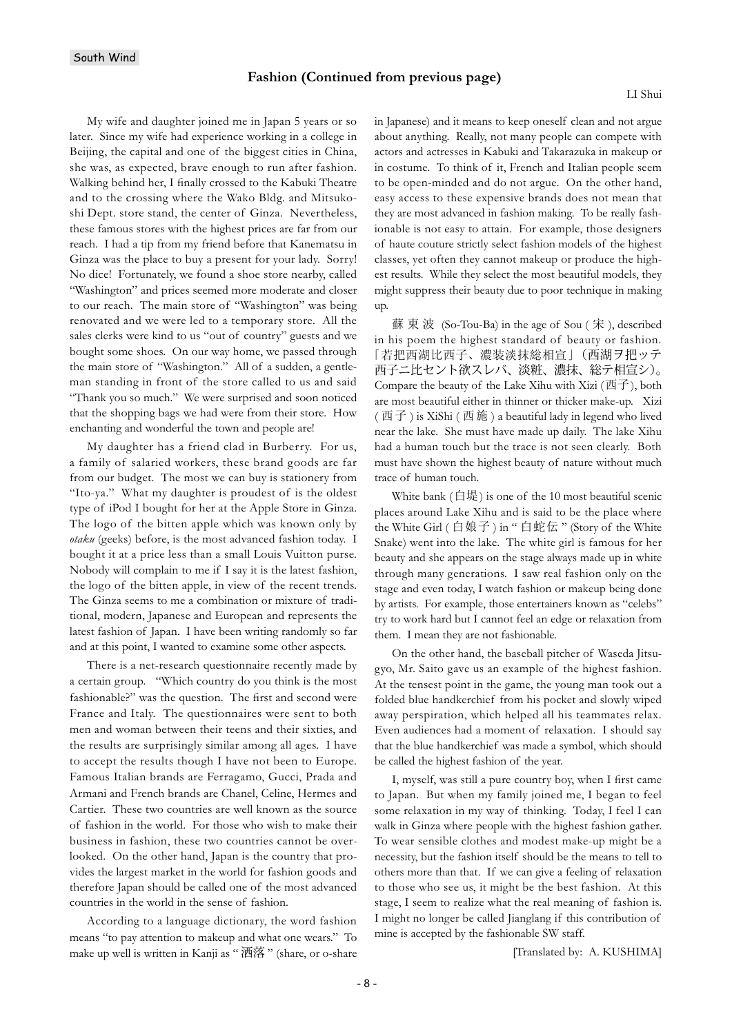My wife and daughter joined me in Japan 5 years or so later. Since my wife had experience working in a college in Beijing, the capital and one of the biggest cities in China, she was, as expected, brave enough to run after fashion. Walking behind her, I finally crossed to the Kabuki Theatre and to the crossing where the Wako Bldg. and Mitsukoshi Dept. store stand, the center of Ginza. Nevertheless, these famous stores with the highest prices are far from our reach. I had a tip from my friend before that Kanematsu in Ginza was the place to buy a present for your lady. Sorry! No dice! Fortunately, we found a shoe store nearby, called "Washington" and prices seemed more moderate and closer to our reach. The main store of "Washington" was being renovated and we were led to a temporary store. All the sales clerks were kind to us "out of country" guests and we bought some shoes. On our way home, we passed through the main store of "Washington." All of a sudden, a gentleman standing in front of the store called to us and said "Thank you so much." We were surprised and soon noticed that the shopping bags we had were from their store. How enchanting and wonderful the town and people are!

My daughter has a friend clad in Burberry. For us, a family of salaried workers, these brand goods are far from our budget. The most we can buy is stationery from "Ito-ya." What my daughter is proudest of is the oldest type of iPod I bought for her at the Apple Store in Ginza. The logo of the bitten apple which was known only by *otaku* (geeks) before, is the most advanced fashion today. I bought it at a price less than a small Louis Vuitton purse. Nobody will complain to me if I say it is the latest fashion, the logo of the bitten apple, in view of the recent trends. The Ginza seems to me a combination or mixture of traditional, modern, Japanese and European and represents the latest fashion of Japan. I have been writing randomly so far and at this point, I wanted to examine some other aspects.

There is a net-research questionnaire recently made by a certain group. "Which country do you think is the most fashionable?" was the question. The first and second were France and Italy. The questionnaires were sent to both men and woman between their teens and their sixties, and the results are surprisingly similar among all ages. I have to accept the results though I have not been to Europe. Famous Italian brands are Ferragamo, Gucci, Prada and Armani and French brands are Chanel, Celine, Hermes and Cartier. These two countries are well known as the source of fashion in the world. For those who wish to make their business in fashion, these two countries cannot be overlooked. On the other hand, Japan is the country that provides the largest market in the world for fashion goods and therefore Japan should be called one of the most advanced countries in the world in the sense of fashion.

According to a language dictionary, the word fashion means "to pay attention to makeup and what one wears." To make up well is written in Kanji as " 洒落 " (share, or o-share in Japanese) and it means to keep oneself clean and not argue about anything. Really, not many people can compete with actors and actresses in Kabuki and Takarazuka in makeup or in costume. To think of it, French and Italian people seem to be open-minded and do not argue. On the other hand, easy access to these expensive brands does not mean that they are most advanced in fashion making. To be really fashionable is not easy to attain. For example, those designers of haute couture strictly select fashion models of the highest classes, yet often they cannot makeup or produce the highest results. While they select the most beautiful models, they might suppress their beauty due to poor technique in making up.

蘇東波 (So-Tou-Ba) in the age of Sou  $($  宋 ), described in his poem the highest standard of beauty or fashion. 「若把西湖比西子、濃装淡抹総相宣」(西湖ヲ把ッテ 西子ニ比セント欲スレバ、淡粧、濃抹、総テ相宣シ)。 Compare the beauty of the Lake Xihu with Xizi ( $\overrightarrow{E}$ ), both are most beautiful either in thinner or thicker make-up. Xizi (西子) is XiShi (西施) a beautiful lady in legend who lived near the lake. She must have made up daily. The lake Xihu had a human touch but the trace is not seen clearly. Both must have shown the highest beauty of nature without much trace of human touch.

White bank (白堤) is one of the 10 most beautiful scenic places around Lake Xihu and is said to be the place where the White Girl (白娘子) in " 白蛇伝 " (Story of the White Snake) went into the lake. The white girl is famous for her beauty and she appears on the stage always made up in white through many generations. I saw real fashion only on the stage and even today, I watch fashion or makeup being done by artists. For example, those entertainers known as "celebs" try to work hard but I cannot feel an edge or relaxation from them. I mean they are not fashionable.

On the other hand, the baseball pitcher of Waseda Jitsugyo, Mr. Saito gave us an example of the highest fashion. At the tensest point in the game, the young man took out a folded blue handkerchief from his pocket and slowly wiped away perspiration, which helped all his teammates relax. Even audiences had a moment of relaxation. I should say that the blue handkerchief was made a symbol, which should be called the highest fashion of the year.

I, myself, was still a pure country boy, when I first came to Japan. But when my family joined me, I began to feel some relaxation in my way of thinking. Today, I feel I can walk in Ginza where people with the highest fashion gather. To wear sensible clothes and modest make-up might be a necessity, but the fashion itself should be the means to tell to others more than that. If we can give a feeling of relaxation to those who see us, it might be the best fashion. At this stage, I seem to realize what the real meaning of fashion is. I might no longer be called Jianglang if this contribution of mine is accepted by the fashionable SW staff.

[Translated by: A. KUSHIMA]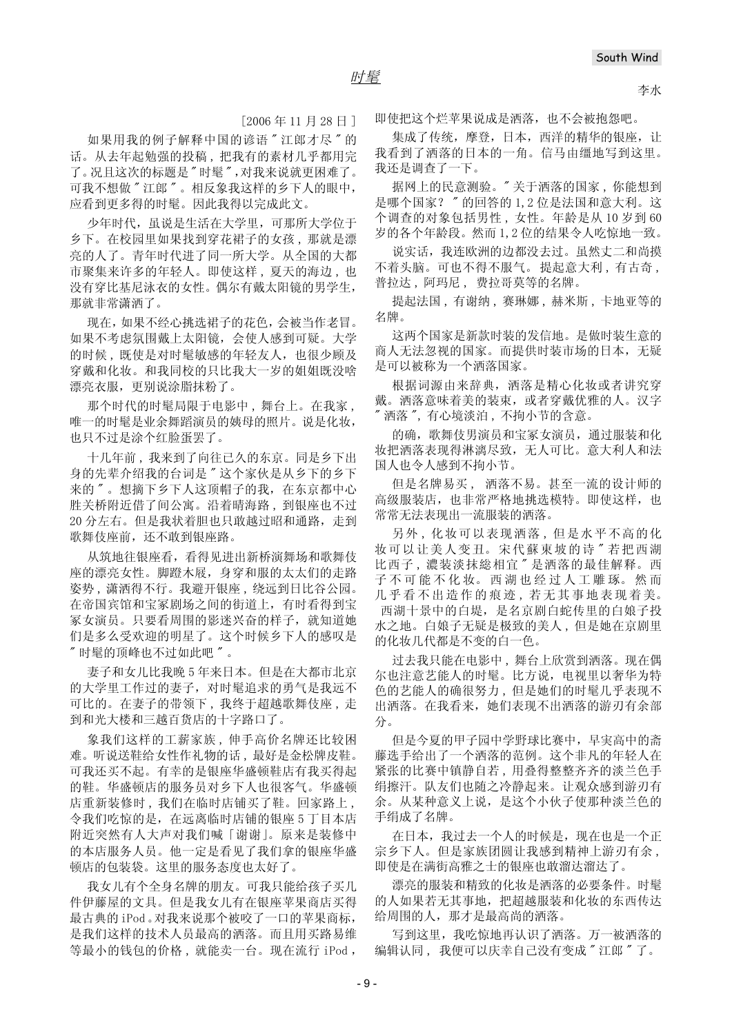李水

 $[2006 \n45 11 \n428 H]$ 

如果用我的例子解释中国的谚语"江郎才尽"的 话。从去年起勉强的投稿,把我有的素材几乎都用完 了。况且这次的标题是"时髦",对我来说就更困难了。 可我不想做"江郎"。相反象我这样的乡下人的眼中, 应看到更多得的时髦。因此我得以完成此文。

少年时代, 虽说是生活在大学里, 可那所大学位于 乡下。在校园里如果找到穿花裙子的女孩,那就是漂 亮的人了。青年时代进了同一所大学。从全国的大都 市聚集来许多的年轻人。即使这样,夏天的海边,也 没有穿比基尼泳衣的女性。偶尔有戴太阳镜的男学生, 那就非常潇洒了。

现在,如果不经心挑选裙子的花色,会被当作老冒。 如果不考虑氛围戴上太阳镜, 会使人感到可疑。大学 的时候, 既使是对时髦敏感的年轻友人, 也很少顾及 穿戴和化妆。和我同校的只比我大一岁的姐姐既没啥 漂亮衣服,更别说涂脂抹粉了。

那个时代的时髦局限于电影中, 舞台上。在我家, 唯一的时髦是业余舞蹈演员的姨母的照片。说是化妆, 也只不过是涂个红脸蛋罢了。

十几年前, 我来到了向往已久的东京。同是乡下出 身的先辈介绍我的台词是"这个家伙是从乡下的乡下 来的"。想摘下乡下人这顶帽子的我, 在东京都中心 胜关桥附近借了间公寓。沿着晴海路,到银座也不过 20 分左右。但是我状着胆也只敢越过昭和通路, 走到 歌舞伎座前,还不敢到银座路。

从筑地往银座看,看得见进出新桥演舞场和歌舞伎 座的漂亮女性。脚蹬木屐, 身穿和服的太太们的走路 姿势, 潇洒得不行。我避开银座, 绕远到日比谷公园。 在帝国宾馆和宝冢剧场之间的街道上, 有时看得到宝 冢女演员。只要看周围的影迷兴奋的样子, 就知道她 们是多么受欢迎的明星了。这个时候乡下人的感叹是 "时髦的顶峰也不过如此吧"。

妻子和女儿比我晚 5 年来日本。但是在大都市北京 的大学里工作过的妻子, 对时髦追求的勇气是我远不 可比的。在妻子的带领下,我终于超越歌舞伎座,走 到和光大楼和三越百货店的十字路口了。

象我们这样的工薪家族,伸手高价名牌还比较困 难。听说送鞋给女性作礼物的话,最好是金松牌皮鞋。 可我还买不起。有幸的是银座华盛顿鞋店有我买得起 的鞋。华盛顿店的服务员对乡下人也很客气。华盛顿 店重新装修时, 我们在临时店铺买了鞋。回家路上, 令我们吃惊的是, 在远离临时店铺的银座 5 丁目本店 附近突然有人大声对我们喊「谢谢」。原来是装修中 的本店服务人员。他一定是看见了我们拿的银座华盛 顿店的包装袋。这里的服务态度也太好了。

我女儿有个全身名牌的朋友。可我只能给孩子买几 件伊藤屋的文具。但是我女儿有在银座苹果商店买得 最古典的 iPod 。对我来说那个被咬了一口的苹果商标, 是我们这样的技术人员最高的洒落。而且用买路易维 等最小的钱包的价格, 就能卖一台。现在流行 iPod,

即使把这个烂苹果说成是洒落, 也不会被抱怨吧。

集成了传统, 摩登, 日本, 西洋的精华的银座, 让 我看到了洒落的日本的一角。信马由缰地写到这里。 我还是调查了一下。

据网上的民意测验。"关于洒落的国家, 你能想到 是哪个国家?"的回答的1,2位是法国和意大利。这 个调查的对象包括男性,女性。年龄是从10岁到60 岁的各个年龄段。然而1,2位的结果令人吃惊地一致。

说实话, 我连欧洲的边都没去过。虽然丈二和尚摸 不着头脑。可也不得不服气。 提起意大利, 有古奇, 普拉达, 阿玛尼, 费拉哥莫等的名牌。

提起法国, 有谢纳, 赛琳娜, 赫米斯, 卡地亚等的 名牌。

这两个国家是新款时装的发信地。是做时装生意的 商人无法忽视的国家。而提供时装市场的日本,无疑 是可以被称为一个洒落国家。

根据词源由来辞典, 洒落是精心化妆或者讲究穿 戴。洒落意味着美的装束, 或者穿戴优雅的人。汉字 "洒落",有心境淡泊,不拘小节的含意。

的确, 歌舞伎男演员和宝冢女演员, 通过服装和化 妆把洒落表现得淋漓尽致, 无人可比。意大利人和法 国人也今人感到不拘小节。

但是名牌易买, 洒落不易。甚至一流的设计师的 高级服装店, 也非常严格地挑选模特。即使这样, 也 常常无法表现出一流服装的洒落。

另外, 化妆可以表现洒落, 但是水平不高的化 妆可以让美人变丑。宋代蘇東坡的诗"若把西湖 比西子,濃装淡抹総相宜"是洒落的最佳解释。西 子不可能不化妆。西湖也经过人工雕琢。然而 几乎看不出造作的痕迹,若无其事地表现着美。 西湖十景中的白堤, 是名京剧白蛇传里的白娘子投 水之地。白娘子无疑是极致的美人,但是她在京剧里 的化妆几代都是不变的白一色。

过去我只能在电影中, 舞台上欣赏到洒落。现在偶 尔也注意艺能人的时髦。比方说, 电视里以奢华为特 色的艺能人的确很努力,但是她们的时髦几乎表现不 出洒落。在我看来,她们表现不出洒落的游刃有余部 分。

但是今夏的甲子园中学野球比赛中, 早実高中的斋 藤选手给出了一个洒落的范例。这个非凡的年轻人在 紧张的比赛中镇静自若,用叠得整整齐齐的淡兰色手 绢擦汗。队友们也随之冷静起来。让观众感到游刃有 余。从某种意义上说, 是这个小伙子使那种淡兰色的 手绢成了名牌。

在日本, 我过去一个人的时候是, 现在也是一个正 宗乡下人。但是家族团圆让我感到精神上游刃有余, 即使是在满街高雅之士的银座也敢溜达溜达了。

漂亮的服装和精致的化妆是洒落的必要条件。时髦 的人如果若无其事地, 把超越服装和化妆的东西传达 给周围的人, 那才是最高尚的洒落。

写到这里, 我吃惊地再认识了洒落。万一被洒落的 编辑认同, 我便可以庆幸自己没有变成"江郎"了。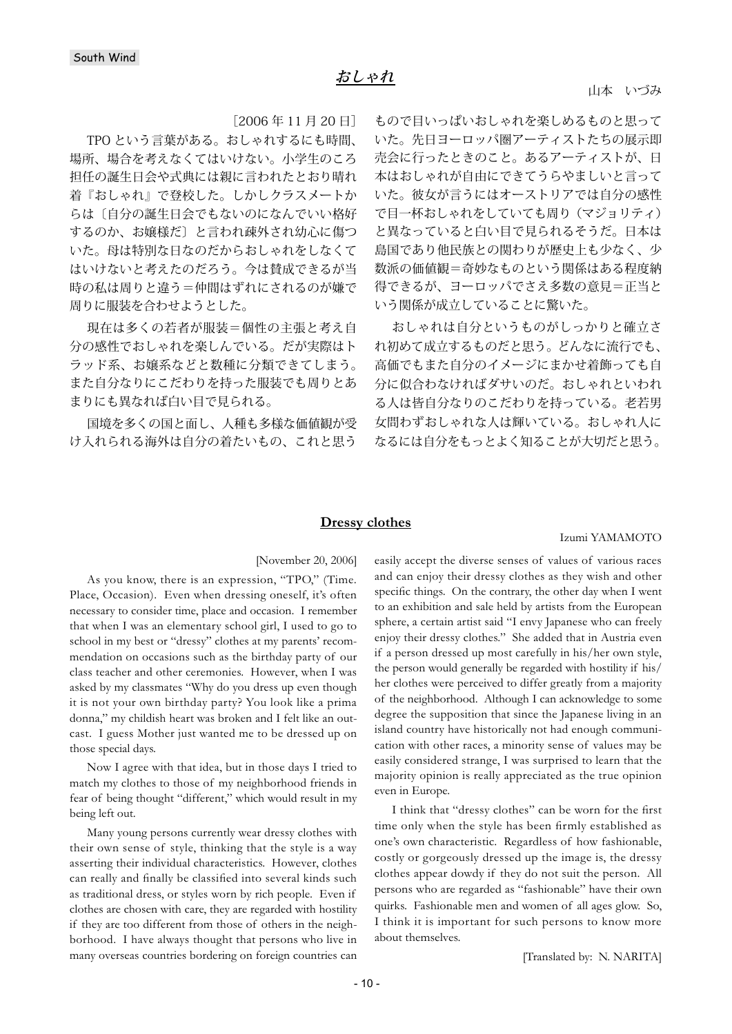[2006 年 11 月 20 日]

TPO という言葉がある。おしゃれするにも時間、 場所、場合を考えなくてはいけない。小学生のころ 担任の誕生日会や式典には親に言われたとおり晴れ 着『おしゃれ』で登校した。しかしクラスメートか らは〔自分の誕生日会でもないのになんでいい格好 するのか、お嬢様だ〕と言われ疎外され幼心に傷つ いた。母は特別な日なのだからおしゃれをしなくて はいけないと考えたのだろう。今は賛成できるが当 時の私は周りと違う=仲間はずれにされるのが嫌で 周りに服装を合わせようとした。

現在は多くの若者が服装=個性の主張と考え自 分の感性でおしゃれを楽しんでいる。だが実際はト ラッド系、お嬢系などと数種に分類できてしまう。 また自分なりにこだわりを持った服装でも周りとあ まりにも異なれば白い目で見られる。

国境を多くの国と面し、人種も多様な価値観が受 け入れられる海外は自分の着たいもの、これと思う

もので目いっぱいおしゃれを楽しめるものと思って いた。先日ヨーロッパ圏アーティストたちの展示即 売会に行ったときのこと。あるアーティストが、日 本はおしゃれが自由にできてうらやましいと言って いた。彼女が言うにはオーストリアでは自分の感性 で目一杯おしゃれをしていても周り(マジョリティ) と異なっていると白い目で見られるそうだ。日本は 島国であり他民族との関わりが歴史上も少なく、少 数派の価値観=奇妙なものという関係はある程度納 得できるが、ヨーロッパでさえ多数の意見=正当と いう関係が成立していることに驚いた。

おしゃれは自分というものがしっかりと確立さ れ初めて成立するものだと思う。どんなに流行でも、 高価でもまた自分のイメージにまかせ着飾っても自 分に似合わなければダサいのだ。おしゃれといわれ る人は皆自分なりのこだわりを持っている。老若男 女問わずおしゃれな人は輝いている。おしゃれ人に なるには自分をもっとよく知ることが大切だと思う。

#### **Dressy clothes**

#### Izumi YAMAMOTO

[November 20, 2006]

As you know, there is an expression, "TPO," (Time. Place, Occasion). Even when dressing oneself, it's often necessary to consider time, place and occasion. I remember that when I was an elementary school girl, I used to go to school in my best or "dressy" clothes at my parents' recommendation on occasions such as the birthday party of our class teacher and other ceremonies. However, when I was asked by my classmates "Why do you dress up even though it is not your own birthday party? You look like a prima donna," my childish heart was broken and I felt like an outcast. I guess Mother just wanted me to be dressed up on those special days.

Now I agree with that idea, but in those days I tried to match my clothes to those of my neighborhood friends in fear of being thought "different," which would result in my being left out.

Many young persons currently wear dressy clothes with their own sense of style, thinking that the style is a way asserting their individual characteristics. However, clothes can really and finally be classified into several kinds such as traditional dress, or styles worn by rich people. Even if clothes are chosen with care, they are regarded with hostility if they are too different from those of others in the neighborhood. I have always thought that persons who live in many overseas countries bordering on foreign countries can

easily accept the diverse senses of values of various races and can enjoy their dressy clothes as they wish and other specific things. On the contrary, the other day when I went to an exhibition and sale held by artists from the European sphere, a certain artist said "I envy Japanese who can freely enjoy their dressy clothes." She added that in Austria even if a person dressed up most carefully in his/her own style, the person would generally be regarded with hostility if his/ her clothes were perceived to differ greatly from a majority of the neighborhood. Although I can acknowledge to some degree the supposition that since the Japanese living in an island country have historically not had enough communication with other races, a minority sense of values may be easily considered strange, I was surprised to learn that the majority opinion is really appreciated as the true opinion even in Europe.

I think that "dressy clothes" can be worn for the first time only when the style has been firmly established as one's own characteristic. Regardless of how fashionable, costly or gorgeously dressed up the image is, the dressy clothes appear dowdy if they do not suit the person. All persons who are regarded as "fashionable" have their own quirks. Fashionable men and women of all ages glow. So, I think it is important for such persons to know more about themselves.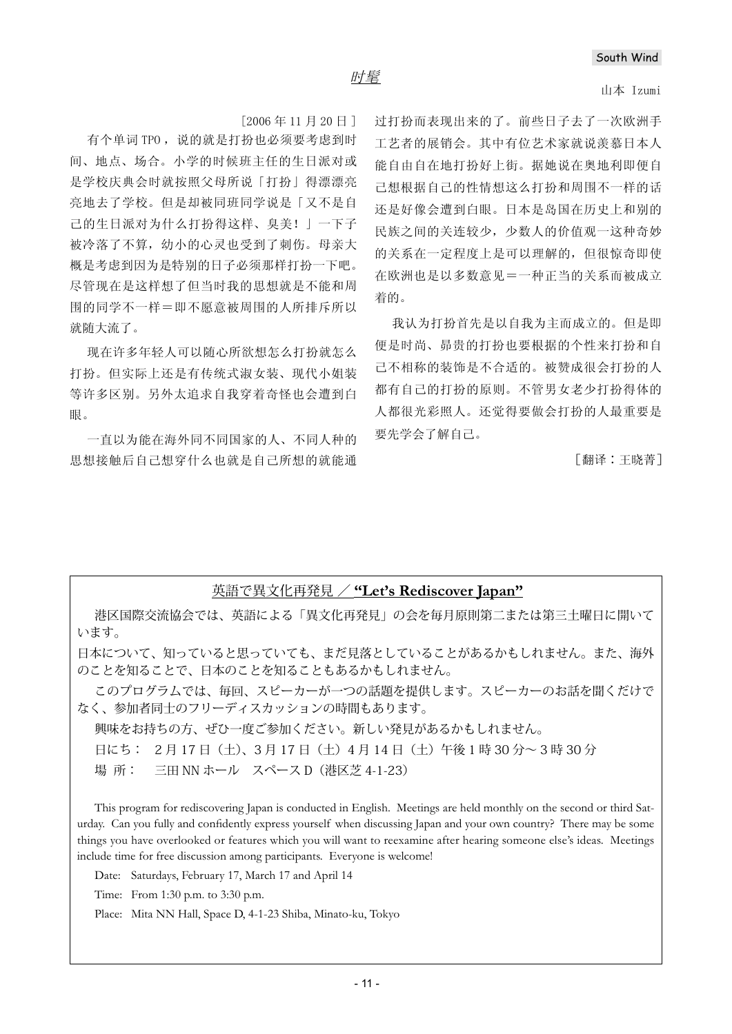#### 山本 Izumi

 $[2006 \n45 11 \n820 \n91]$ 

有个单词 TPO, 说的就是打扮也必须要考虑到时 间、地点、场合。小学的时候班主任的生日派对或 是学校庆典会时就按照父母所说「打扮」得漂漂亮 亮地去了学校。但是却被同班同学说是「又不是自 己的生日派对为什么打扮得这样、臭美! | 一下子 被冷落了不算, 幼小的心灵也受到了刺伤。母亲大 概是考虑到因为是特别的日子必须那样打扮一下吧。 尽管现在是这样想了但当时我的思想就是不能和周 围的同学不一样=即不愿意被周围的人所排斥所以 就随大流了。

现在许多年轻人可以随心所欲想怎么打扮就怎么 打扮。但实际上还是有传统式淑女装、现代小姐装 等许多区别。另外太追求自我穿着奇怪也会遭到白 ⴐDŽ

一首以为能在海外同不同国家的人、不同人种的 思想接触后自己想穿什么也就是自己所想的就能通 讨打扮而表现出来的了。前些日子夫了一次欧洲手 工艺者的展销会。其中有位艺术家就说羡慕日本人 能自由自在地打扮好上街。据她说在奥地利即便自 己想根据自己的性情想这么打扮和周围不一样的话 还是好像会遭到白眼。日本是岛国在历史上和别的 民族之间的关连较少, 少数人的价值观一这种奇妙 的关系在一定程度上是可以理解的, 但很惊奇即使 在欧洲也是以多数意见=一种正当的关系而被成立 着的。

我认为打扮首先是以自我为主而成立的。但是即 便是时尚、昴贵的打扮也要根据的个性来打扮和自 己不相称的装饰是不合适的。被赞成很会打扮的人 都有自己的打扮的原则。不管男女老少打扮得体的 人都很光彩照人。还觉得要做会打扮的人最重要是 要先学会了解自己。

「翻译:王晓菁ヿ

## 英語で異文化再発見 / **"Let's Rediscover Japan"**

港区国際交流協会では、英語による「異文化再発見」の会を毎月原則第二または第三土曜日に開いて います。

日本について、知っていると思っていても、まだ見落としていることがあるかもしれません。また、海外 のことを知ることで、日本のことを知ることもあるかもしれません。

このプログラムでは、毎回、スピーカーが一つの話題を提供します。スピーカーのお話を聞くだけで なく、参加者同士のフリーディスカッションの時間もあります。

興味をお持ちの方、ぜひ一度ご参加ください。新しい発見があるかもしれません。

日にち: 2月17日 (土)、3月17日 (土) 4月14日 (土) 午後1時 30 分~ 3時 30 分

場 所: 三田 NN ホール スペース D(港区芝 4-1-23)

This program for rediscovering Japan is conducted in English. Meetings are held monthly on the second or third Saturday. Can you fully and confidently express yourself when discussing Japan and your own country? There may be some things you have overlooked or features which you will want to reexamine after hearing someone else's ideas. Meetings include time for free discussion among participants. Everyone is welcome!

Date: Saturdays, February 17, March 17 and April 14

Time: From 1:30 p.m. to 3:30 p.m.

Place: Mita NN Hall, Space D, 4-1-23 Shiba, Minato-ku, Tokyo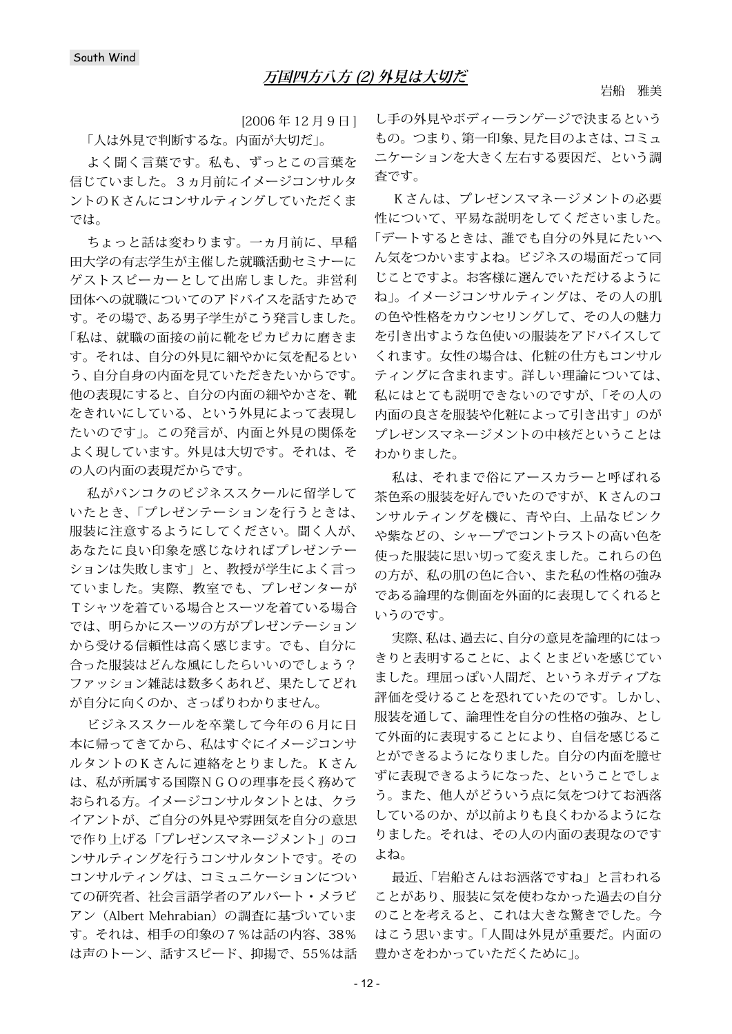[2006 年 12月9日] 「人は外見で判断するな。内面が大切だ」。

よく聞く言葉です。私も、ずっとこの言葉を 信じていました。3ヵ月前にイメージコンサルタ ントのKさんにコンサルティングしていただくま では。

ちょっと話は変わります。一ヵ月前に、早稲 田大学の有志学生が主催した就職活動セミナーに ゲストスピーカーとして出席しました。非営利 団体への就職についてのアドバイスを話すためで す。その場で、ある男子学生がこう発言しました。 「私は、就職の面接の前に靴をピカピカに磨きま す。それは、自分の外見に細やかに気を配るとい う、自分自身の内面を見ていただきたいからです。 他の表現にすると、自分の内面の細やかさを、靴 をきれいにしている、という外見によって表現し たいのです」。この発言が、内面と外見の関係を よく現しています。外見は大切です。それは、そ の人の内面の表現だからです。

私がバンコクのビジネススクールに留学して いたとき、「プレゼンテーションを行うときは、 服装に注意するようにしてください。聞く人が、 あなたに良い印象を感じなければプレゼンテー ションは失敗します」と、教授が学生によく言っ ていました。実際、教室でも、プレゼンターが Tシャツを着ている場合とスーツを着ている場合 では、明らかにスーツの方がプレゼンテーション から受ける信頼性は高く感じます。でも、自分に 合った服装はどんな風にしたらいいのでしょう? ファッション雑誌は数多くあれど、果たしてどれ が自分に向くのか、さっぱりわかりません。

ビジネススクールを卒業して今年の6月に日 本に帰ってきてから、私はすぐにイメージコンサ ルタントのKさんに連絡をとりました。Kさん は、私が所属する国際NGOの理事を長く務めて おられる方。イメージコンサルタントとは、クラ イアントが、ご自分の外見や雰囲気を自分の意思 で作り上げる「プレゼンスマネージメント」のコ ンサルティングを行うコンサルタントです。その コンサルティングは、コミュニケーションについ ての研究者、社会言語学者のアルバート・メラビ アン (Albert Mehrabian)の調査に基づいていま す。それは、相手の印象の7%は話の内容、38% は声のトーン、話すスピード、抑揚で、55%は話 し手の外見やボディーランゲージで決まるという もの。つまり、第一印象、見た目のよさは、コミュ ニケーションを大きく左右する要因だ、という調 査です。

Kさんは、プレゼンスマネージメントの必要 性について、平易な説明をしてくださいました。 「デートするときは、誰でも自分の外見にたいへ ん気をつかいますよね。ビジネスの場面だって同 じことですよ。お客様に選んでいただけるように ね」。イメージコンサルティングは、その人の肌 の色や性格をカウンセリングして、その人の魅力 を引き出すような色使いの服装をアドバイスして くれます。女性の場合は、化粧の仕方もコンサル ティングに含まれます。詳しい理論については、 私にはとても説明できないのですが、「その人の 内面の良さを服装や化粧によって引き出す」のが プレゼンスマネージメントの中核だということは わかりました。

私は、それまで俗にアースカラーと呼ばれる 茶色系の服装を好んでいたのですが、Kさんのコ ンサルティングを機に、青や白、上品なピンク や紫などの、シャープでコントラストの高い色を 使った服装に思い切って変えました。これらの色 の方が、私の肌の色に合い、また私の性格の強み である論理的な側面を外面的に表現してくれると いうのです。

実際、私は、過去に、自分の意見を論理的にはっ きりと表明することに、よくとまどいを感じてい ました。理屈っぽい人間だ、というネガティブな 評価を受けることを恐れていたのです。しかし、 服装を通して、論理性を自分の性格の強み、とし て外面的に表現することにより、自信を感じるこ とができるようになりました。自分の内面を臆せ ずに表現できるようになった、ということでしょ う。また、他人がどういう点に気をつけてお洒落 しているのか、が以前よりも良くわかるようにな りました。それは、その人の内面の表現なのです よね。

最近、「岩船さんはお洒落ですね」と言われる ことがあり、服装に気を使わなかった過去の自分 のことを考えると、これは大きな驚きでした。今 はこう思います。「人間は外見が重要だ。内面の 豊かさをわかっていただくために」。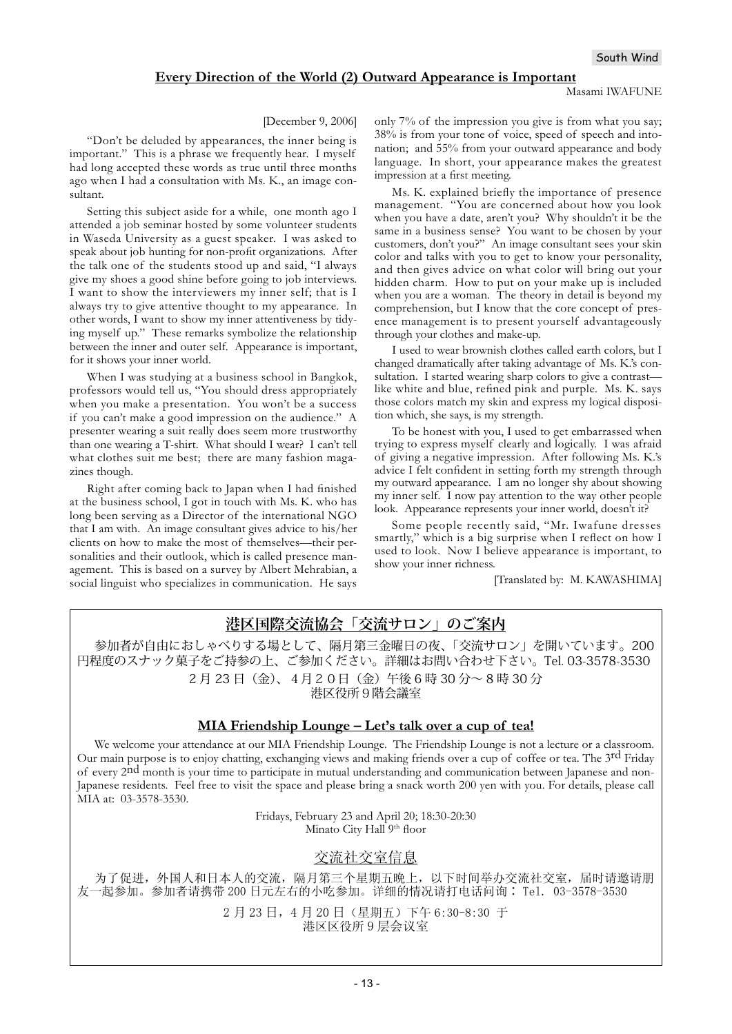#### **Every Direction of the World (2) Outward Appearance is Important**

#### [December 9, 2006]

"Don't be deluded by appearances, the inner being is important." This is a phrase we frequently hear. I myself had long accepted these words as true until three months ago when I had a consultation with Ms. K., an image consultant.

Setting this subject aside for a while, one month ago I attended a job seminar hosted by some volunteer students in Waseda University as a guest speaker. I was asked to speak about job hunting for non-profit organizations. After the talk one of the students stood up and said, "I always give my shoes a good shine before going to job interviews. I want to show the interviewers my inner self; that is I always try to give attentive thought to my appearance. In other words, I want to show my inner attentiveness by tidying myself up." These remarks symbolize the relationship between the inner and outer self. Appearance is important, for it shows your inner world.

When I was studying at a business school in Bangkok, professors would tell us, "You should dress appropriately when you make a presentation. You won't be a success if you can't make a good impression on the audience." A presenter wearing a suit really does seem more trustworthy than one wearing a T-shirt. What should I wear? I can't tell what clothes suit me best; there are many fashion magazines though.

Right after coming back to Japan when I had finished at the business school, I got in touch with Ms. K. who has long been serving as a Director of the international NGO that I am with. An image consultant gives advice to his/her clients on how to make the most of themselves—their personalities and their outlook, which is called presence management. This is based on a survey by Albert Mehrabian, a social linguist who specializes in communication. He says only 7% of the impression you give is from what you say; 38% is from your tone of voice, speed of speech and intonation; and 55% from your outward appearance and body language. In short, your appearance makes the greatest impression at a first meeting.

Ms. K. explained briefly the importance of presence management. "You are concerned about how you look when you have a date, aren't you? Why shouldn't it be the same in a business sense? You want to be chosen by your customers, don't you?" An image consultant sees your skin color and talks with you to get to know your personality, and then gives advice on what color will bring out your hidden charm. How to put on your make up is included when you are a woman. The theory in detail is beyond my comprehension, but I know that the core concept of presence management is to present yourself advantageously through your clothes and make-up.

I used to wear brownish clothes called earth colors, but I changed dramatically after taking advantage of Ms. K.'s consultation. I started wearing sharp colors to give a contrast like white and blue, refined pink and purple. Ms. K. says those colors match my skin and express my logical disposition which, she says, is my strength.

To be honest with you, I used to get embarrassed when trying to express myself clearly and logically. I was afraid of giving a negative impression. After following Ms. K.'s advice I felt confident in setting forth my strength through my outward appearance. I am no longer shy about showing my inner self. I now pay attention to the way other people look. Appearance represents your inner world, doesn't it?

Some people recently said, "Mr. Iwafune dresses smartly," which is a big surprise when I reflect on how I used to look. Now I believe appearance is important, to show your inner richness.

[Translated by: M. KAWASHIMA]

# **港区国際交流協会「交流サロン」のご案内**

参加者が自由におしゃべりする場として、隔月第三金曜日の夜、「交流サロン」を開いています。200 円程度のスナック菓子をご持参の上、ご参加ください。詳細はお問い合わせ下さい。Tel. 03-3578-3530 2 月 23 日(金)、4月20日(金)午後 6 時 30 分~ 8 時 30 分 港区役所9階会議室

### **MIA Friendship Lounge – Let's talk over a cup of tea!**

We welcome your attendance at our MIA Friendship Lounge. The Friendship Lounge is not a lecture or a classroom. Our main purpose is to enjoy chatting, exchanging views and making friends over a cup of coffee or tea. The 3<sup>rd</sup> Friday of every 2nd month is your time to participate in mutual understanding and communication between Japanese and non-Japanese residents. Feel free to visit the space and please bring a snack worth 200 yen with you. For details, please call MIA at: 03-3578-3530.

> Fridays, February 23 and April 20; 18:30-20:30 Minato City Hall 9<sup>th</sup> floor

### 交流社交室信息

为了促进,外国人和日本人的交流,隔月第三个星期五晚上,以下时间举办交流社交室,届时请邀请朋 友一起参加。参加者请携带 200 日元左右的小吃参加。详细的情况请打电话问询: Tel. 03-3578-3530

> 2月23日, 4月20日 (星期五) 下午 6:30-8:30 于 港区区役所9层会议室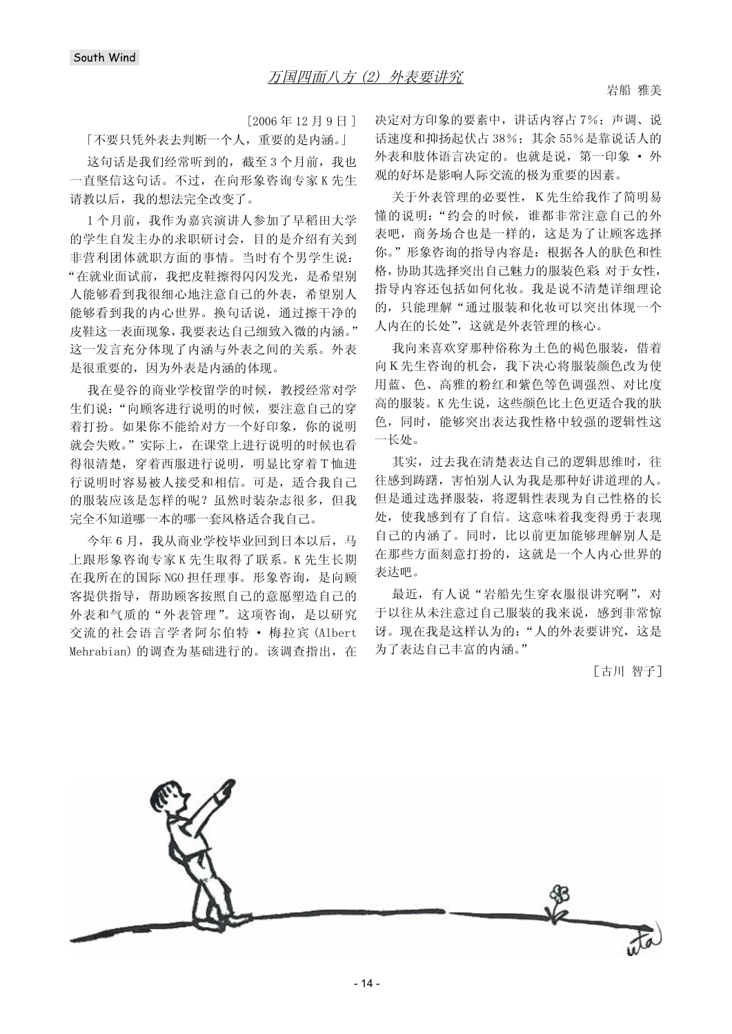$[2006 \n45 12 \n49 H]$ 

[不要只凭外表去判断一个人, 重要的是内涵。]

这句话是我们经常听到的, 截至3个月前, 我也 一直坚信这句话。不过, 在向形象咨询专家K先生 请教以后, 我的想法完全改变了。

1个月前, 我作为嘉宾演讲人参加了早稻田大学 的学生自发主办的求职研讨会,目的是介绍有关到 非营利团体就职方面的事情。当时有个男学生说: "在就业面试前,我把皮鞋擦得闪闪发光,是希望别 人能够看到我很细心地注意自己的外表,希望别人 能够看到我的内心世界。换句话说, 通过擦干净的 皮鞋这一表面现象,我要表达自己细致入微的内涵。" 这一发言充分体现了内涵与外表之间的关系。外表 是很重要的,因为外表是内涵的体现。

我在曼谷的商业学校留学的时候, 教授经常对学 生们说: "向顾客进行说明的时候, 要注意自己的穿 着打扮。如果你不能给对方一个好印象, 你的说明 就会失败。"实际上, 在课堂上进行说明的时候也看 得很清楚, 穿着西服进行说明, 明显比穿着T恤进 行说明时容易被人接受和相信。可是, 适合我自己 的服装应该是怎样的呢?虽然时装杂志很多,但我 完全不知道哪一本的哪一套风格适合我自己。

今年6月, 我从商业学校毕业回到日本以后, 马 上跟形象咨询专家K先生取得了联系。K先生长期 在我所在的国际 NGO 担任理事。形象咨询, 是向顾 客提供指导,帮助顾客按照自己的意愿塑造自己的 外表和气质的"外表管理"。这项咨询, 是以研究 交流的社会语言学者阿尔伯特 · 梅拉宾 (Albert Mehrabian) 的调查为基础进行的。该调查指出, 在 决定对方印象的要素中,讲话内容占7%;声调、说 话速度和抑扬起伏占38%; 其余55%是靠说话人的 外表和肢体语言决定的。也就是说, 第一印象 · 外 观的好坏是影响人际交流的极为重要的因素。

关于外表管理的必要性, K先生给我作了简明易 懂的说明: "约会的时候, 谁都非常注意自己的外 表吧, 商务场合也是一样的, 这是为了让顾客选择 你。"形象咨询的指导内容是: 根据各人的肤色和性 格,协助其选择突出自己魅力的服装色彩 对于女性, 指导内容还包括如何化妆。我是说不清楚详细理论 的, 只能理解"通过服装和化妆可以突出体现一个 人内在的长处",这就是外表管理的核心。

我向来喜欢穿那种俗称为土色的褐色服装,借着 向K先生咨询的机会, 我下决心将服装颜色改为使 用蓝、色、高雅的粉红和紫色等色调强烈、对比度 高的服装。K先生说, 这些颜色比土色更适合我的肤 色,同时,能够突出表达我性格中较强的逻辑性这 一长处。

其实, 过去我在清楚表达自己的逻辑思维时, 往 往感到踌躇, 害怕别人认为我是那种好讲道理的人。 但是通过选择服装,将逻辑性表现为自己性格的长 处, 使我感到有了自信。这意味着我变得勇于表现 自己的内涵了。同时, 比以前更加能够理解别人是 在那些方面刻意打扮的, 这就是一个人内心世界的 表达吧。

最近, 有人说"岩船先生穿衣服很讲究啊", 对 于以往从未注意过自己服装的我来说, 感到非常惊 讶。现在我是这样认为的: "人的外表要讲究, 这是 为了表达自己丰富的内涵。"

[古川 智子]

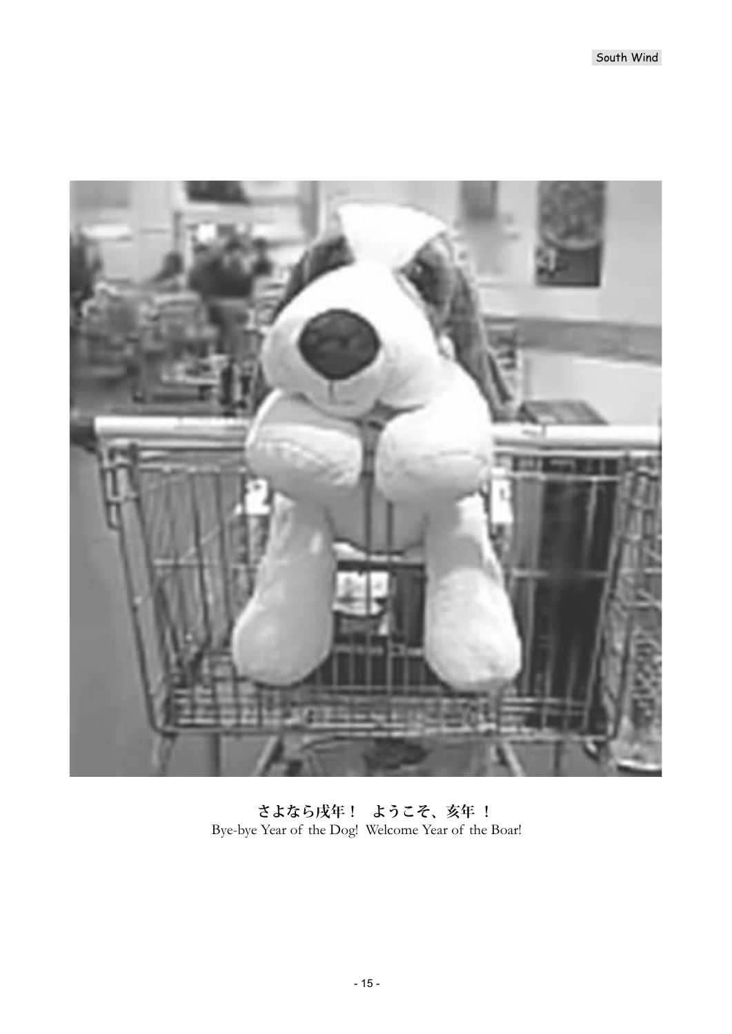

**さよなら戌年! ようこそ、亥年 !** Bye-bye Year of the Dog! Welcome Year of the Boar!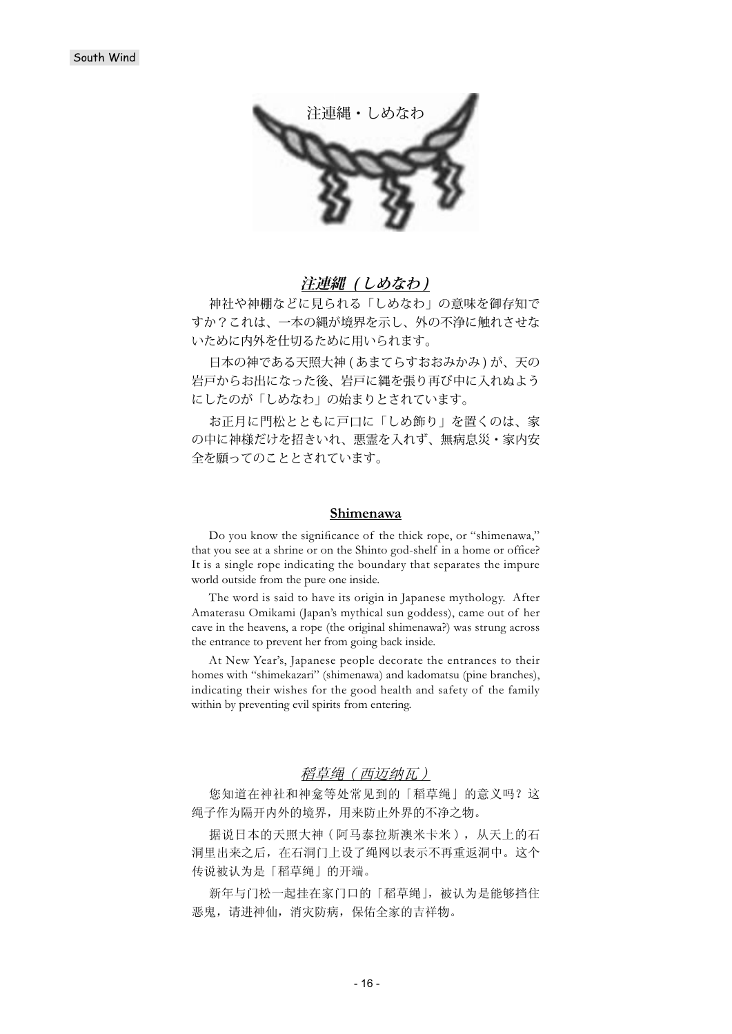

# **注連縄 ( しめなわ )**

神社や神棚などに見られる「しめなわ」の意味を御存知で すか?これは、一本の縄が境界を示し、外の不浄に触れさせな いために内外を仕切るために用いられます。

日本の神である天照大神 (あまてらすおおみかみ)が、天の 岩戸からお出になった後、岩戸に縄を張り再び中に入れぬよう にしたのが「しめなわ」の始まりとされています。

お正月に門松とともに戸口に「しめ飾り」を置くのは、家 の中に神様だけを招きいれ、悪霊を入れず、無病息災・家内安 全を願ってのこととされています。

#### **Shimenawa**

Do you know the significance of the thick rope, or "shimenawa," that you see at a shrine or on the Shinto god-shelf in a home or office? It is a single rope indicating the boundary that separates the impure world outside from the pure one inside.

The word is said to have its origin in Japanese mythology. After Amaterasu Omikami (Japan's mythical sun goddess), came out of her cave in the heavens, a rope (the original shimenawa?) was strung across the entrance to prevent her from going back inside.

At New Year's, Japanese people decorate the entrances to their homes with "shimekazari" (shimenawa) and kadomatsu (pine branches), indicating their wishes for the good health and safety of the family within by preventing evil spirits from entering.

## 稻草绳(西迈纳瓦)

您知道在神社和神龛等处常见到的「稻草绳」的意义吗?这 绳子作为隔开内外的境界,用来防止外界的不净之物。

据说日本的天照大神(阿马泰拉斯澳米卡米), 从天上的石 洞里出来之后, 在石洞门上设了绳网以表示不再重返洞中。这个 传说被认为是「稻草绳」的开端。

新年与门松一起挂在家门口的「稻草绳」, 被认为是能够挡住 恶鬼,请进神仙,消灾防病,保佑全家的吉祥物。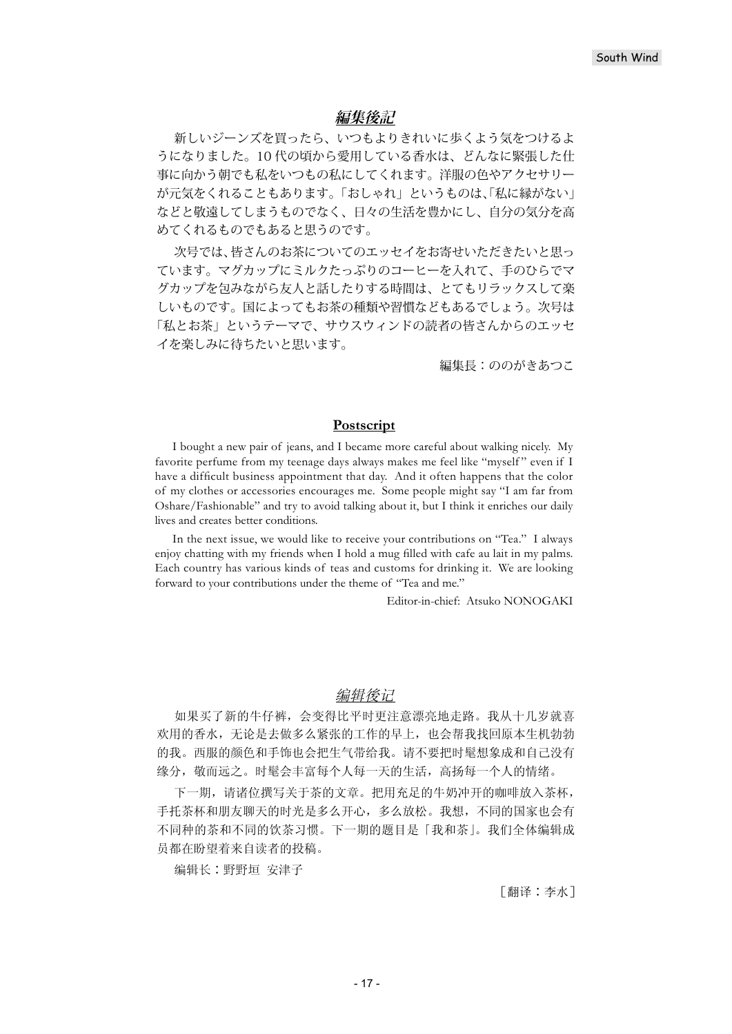## **編集後記**

新しいジーンズを買ったら、いつもよりきれいに歩くよう気をつけるよ うになりました。10 代の頃から愛用している香水は、どんなに緊張した仕 事に向かう朝でも私をいつもの私にしてくれます。洋服の色やアクセサリー が元気をくれることもあります。「おしゃれ」というものは、「私に縁がない」 などと敬遠してしまうものでなく、日々の生活を豊かにし、自分の気分を高 めてくれるものでもあると思うのです。

次号では、皆さんのお茶についてのエッセイをお寄せいただきたいと思っ ています。マグカップにミルクたっぷりのコーヒーを入れて、手のひらでマ グカップを包みながら友人と話したりする時間は、とてもリラックスして楽 しいものです。国によってもお茶の種類や習慣などもあるでしょう。次号は 「私とお茶」というテーマで、サウスウィンドの読者の皆さんからのエッセ イを楽しみに待ちたいと思います。

編集長:ののがきあつこ

## **Postscript**

I bought a new pair of jeans, and I became more careful about walking nicely. My favorite perfume from my teenage days always makes me feel like "myself " even if I have a difficult business appointment that day. And it often happens that the color of my clothes or accessories encourages me. Some people might say "I am far from Oshare/Fashionable" and try to avoid talking about it, but I think it enriches our daily lives and creates better conditions.

In the next issue, we would like to receive your contributions on "Tea." I always enjoy chatting with my friends when I hold a mug filled with cafe au lait in my palms. Each country has various kinds of teas and customs for drinking it. We are looking forward to your contributions under the theme of "Tea and me."

Editor-in-chief: Atsuko NONOGAKI

### 编辑後记

如果买了新的牛仔裤, 会变得比平时更注意漂亮地走路。我从十几岁就喜 欢用的香水, 无论是夫做多久紧张的工作的早上, 也会帮我找回原本生机勃勃 的我。西服的颜色和手饰也会把生气带给我。请不要把时髦想象成和自己没有 缘分, 敬而远之。时髦会丰富每个人每一天的生活, 高扬每一个人的情绪。

下一期, 请诸位撰写关于茶的文章。把用充足的牛奶冲开的咖啡放入茶杯, 手托茶杯和朋友聊天的时光是多么开心,多么放松。我想,不同的国家也会有 不同种的茶和不同的饮茶习惯。下一期的题目是「我和茶」。我们全体编辑成 员都在盼望着来自读者的投稿。

编辑长:野野垣 安津子

「翻译:李水ヿ